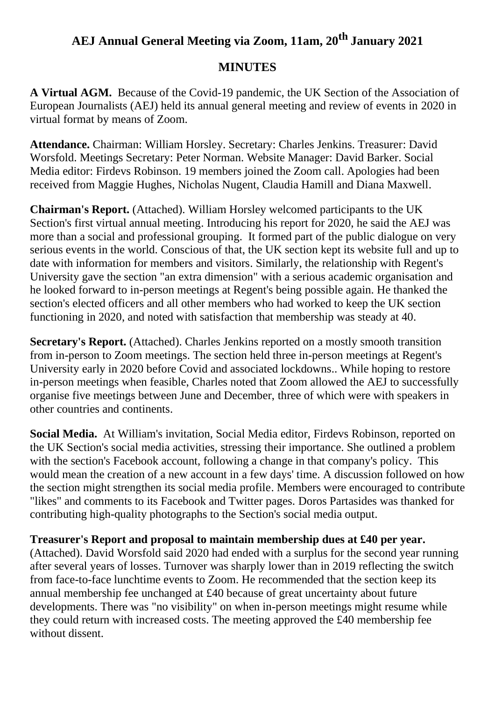## **AEJ Annual General Meeting via Zoom, 11am, 20 th January 2021**

## **MINUTES**

**A Virtual AGM.** Because of the Covid-19 pandemic, the UK Section of the Association of European Journalists (AEJ) held its annual general meeting and review of events in 2020 in virtual format by means of Zoom.

**Attendance.** Chairman: William Horsley. Secretary: Charles Jenkins. Treasurer: David Worsfold. Meetings Secretary: Peter Norman. Website Manager: David Barker. Social Media editor: Firdevs Robinson. 19 members joined the Zoom call. Apologies had been received from Maggie Hughes, Nicholas Nugent, Claudia Hamill and Diana Maxwell.

**Chairman's Report.** (Attached). William Horsley welcomed participants to the UK Section's first virtual annual meeting. Introducing his report for 2020, he said the AEJ was more than a social and professional grouping. It formed part of the public dialogue on very serious events in the world. Conscious of that, the UK section kept its website full and up to date with information for members and visitors. Similarly, the relationship with Regent's University gave the section "an extra dimension" with a serious academic organisation and he looked forward to in-person meetings at Regent's being possible again. He thanked the section's elected officers and all other members who had worked to keep the UK section functioning in 2020, and noted with satisfaction that membership was steady at 40.

**Secretary's Report.** (Attached). Charles Jenkins reported on a mostly smooth transition from in-person to Zoom meetings. The section held three in-person meetings at Regent's University early in 2020 before Covid and associated lockdowns.. While hoping to restore in-person meetings when feasible, Charles noted that Zoom allowed the AEJ to successfully organise five meetings between June and December, three of which were with speakers in other countries and continents.

**Social Media.** At William's invitation, Social Media editor, Firdevs Robinson, reported on the UK Section's social media activities, stressing their importance. She outlined a problem with the section's Facebook account, following a change in that company's policy. This would mean the creation of a new account in a few days' time. A discussion followed on how the section might strengthen its social media profile. Members were encouraged to contribute "likes" and comments to its Facebook and Twitter pages. Doros Partasides was thanked for contributing high-quality photographs to the Section's social media output.

## **Treasurer's Report and proposal to maintain membership dues at £40 per year.**

(Attached). David Worsfold said 2020 had ended with a surplus for the second year running after several years of losses. Turnover was sharply lower than in 2019 reflecting the switch from face-to-face lunchtime events to Zoom. He recommended that the section keep its annual membership fee unchanged at £40 because of great uncertainty about future developments. There was "no visibility" on when in-person meetings might resume while they could return with increased costs. The meeting approved the £40 membership fee without dissent.